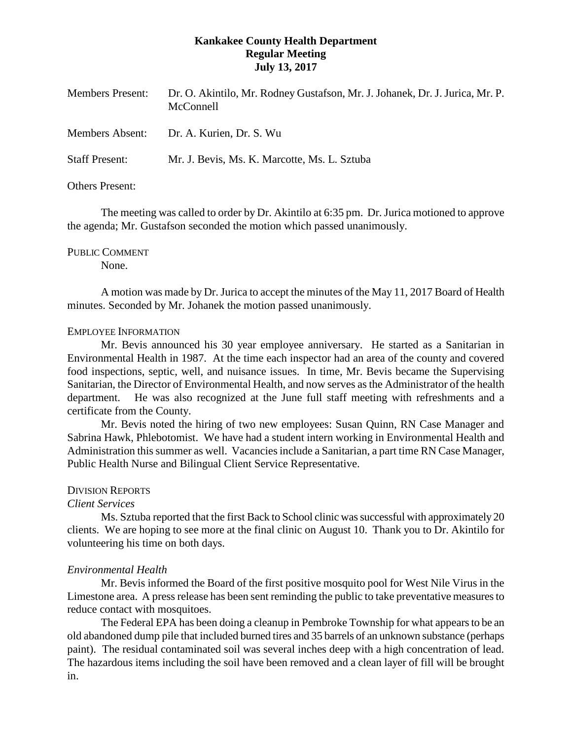# **Kankakee County Health Department Regular Meeting July 13, 2017**

| <b>Members Present:</b> | Dr. O. Akintilo, Mr. Rodney Gustafson, Mr. J. Johanek, Dr. J. Jurica, Mr. P.<br>McConnell |
|-------------------------|-------------------------------------------------------------------------------------------|
| <b>Members Absent:</b>  | Dr. A. Kurien, Dr. S. Wu                                                                  |
| <b>Staff Present:</b>   | Mr. J. Bevis, Ms. K. Marcotte, Ms. L. Sztuba                                              |
| <b>Others Present:</b>  |                                                                                           |

The meeting was called to order by Dr. Akintilo at 6:35 pm. Dr. Jurica motioned to approve the agenda; Mr. Gustafson seconded the motion which passed unanimously.

## PUBLIC COMMENT

None.

A motion was made by Dr. Jurica to accept the minutes of the May 11, 2017 Board of Health minutes. Seconded by Mr. Johanek the motion passed unanimously.

## EMPLOYEE INFORMATION

Mr. Bevis announced his 30 year employee anniversary. He started as a Sanitarian in Environmental Health in 1987. At the time each inspector had an area of the county and covered food inspections, septic, well, and nuisance issues. In time, Mr. Bevis became the Supervising Sanitarian, the Director of Environmental Health, and now serves as the Administrator of the health department. He was also recognized at the June full staff meeting with refreshments and a certificate from the County.

Mr. Bevis noted the hiring of two new employees: Susan Quinn, RN Case Manager and Sabrina Hawk, Phlebotomist. We have had a student intern working in Environmental Health and Administration this summer as well. Vacancies include a Sanitarian, a part time RN Case Manager, Public Health Nurse and Bilingual Client Service Representative.

# DIVISION REPORTS

# *Client Services*

Ms. Sztuba reported that the first Back to School clinic was successful with approximately 20 clients. We are hoping to see more at the final clinic on August 10. Thank you to Dr. Akintilo for volunteering his time on both days.

# *Environmental Health*

Mr. Bevis informed the Board of the first positive mosquito pool for West Nile Virus in the Limestone area. A press release has been sent reminding the public to take preventative measures to reduce contact with mosquitoes.

The Federal EPA has been doing a cleanup in Pembroke Township for what appears to be an old abandoned dump pile that included burned tires and 35 barrels of an unknown substance (perhaps paint). The residual contaminated soil was several inches deep with a high concentration of lead. The hazardous items including the soil have been removed and a clean layer of fill will be brought in.